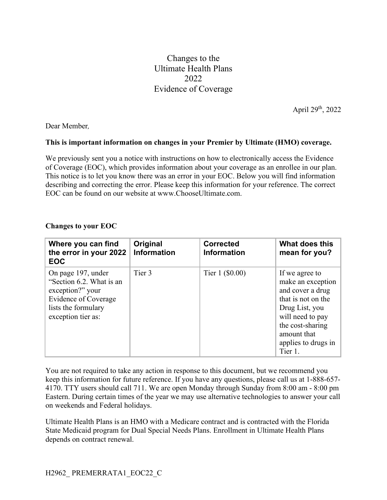Changes to the Ultimate Health Plans 2022 Evidence of Coverage

April 29th, 2022

Dear Member*,*

## **This is important information on changes in your Premier by Ultimate (HMO) coverage.**

We previously sent you a notice with instructions on how to electronically access the Evidence of Coverage (EOC), which provides information about your coverage as an enrollee in our plan. This notice is to let you know there was an error in your EOC. Below you will find information describing and correcting the error. Please keep this information for your reference. The correct EOC can be found on our website at www.ChooseUltimate.com.

| Where you can find<br>the error in your 2022<br><b>EOC</b>                                                                              | Original<br><b>Information</b> | <b>Corrected</b><br><b>Information</b> | What does this<br>mean for you?                                                                                                                                                          |
|-----------------------------------------------------------------------------------------------------------------------------------------|--------------------------------|----------------------------------------|------------------------------------------------------------------------------------------------------------------------------------------------------------------------------------------|
| On page 197, under<br>"Section 6.2. What is an<br>exception?" your<br>Evidence of Coverage<br>lists the formulary<br>exception tier as: | Tier 3                         | Tier 1 (\$0.00)                        | If we agree to<br>make an exception<br>and cover a drug<br>that is not on the<br>Drug List, you<br>will need to pay<br>the cost-sharing<br>amount that<br>applies to drugs in<br>Tier 1. |

## **Changes to your EOC**

You are not required to take any action in response to this document, but we recommend you keep this information for future reference. If you have any questions, please call us at 1-888-657- 4170. TTY users should call 711. We are open Monday through Sunday from 8:00 am - 8:00 pm Eastern. During certain times of the year we may use alternative technologies to answer your call on weekends and Federal holidays.

Ultimate Health Plans is an HMO with a Medicare contract and is contracted with the Florida State Medicaid program for Dual Special Needs Plans. Enrollment in Ultimate Health Plans depends on contract renewal.